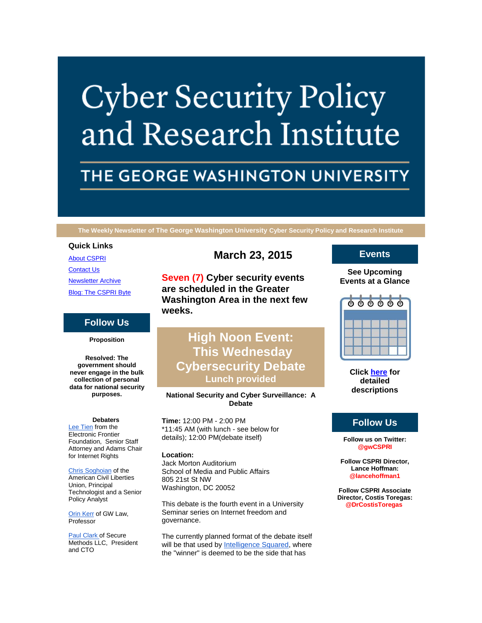# **Cyber Security Policy** and Research Institute

## THE GEORGE WASHINGTON UNIVERSITY

**The Weekly Newsletter of The George Washington University Cyber Security Policy and Research Institute**

## **Quick Links**

[About CSPRI](http://r20.rs6.net/tn.jsp?e=001P6THgqauJSHyKPHhO_2I5rrEqf7H__wdrFf-PDbB4VygaioqyNdIWJHu9BNxaA_QAE9yEpbkqrCovZPhRnkGWIn4fUhK7yOmr69A9WqwPpYWj5d2Rc7AMaq1DMC7uite) **[Contact Us](http://r20.rs6.net/tn.jsp?e=001P6THgqauJSHyKPHhO_2I5rrEqf7H__wdrFf-PDbB4VygaioqyNdIWJHu9BNxaA_QAE9yEpbkqrCovZPhRnkGWIn4fUhK7yOmr69A9WqwPpaeAciD5qGl8awgk98bOAV4JSJ8w_q5NQQ=)** [Newsletter Archive](http://r20.rs6.net/tn.jsp?e=001P6THgqauJSHyKPHhO_2I5rrEqf7H__wdrFf-PDbB4VygaioqyNdIWJHu9BNxaA_QAE9yEpbkqrCovZPhRnkGWIn4fUhK7yOmr69A9WqwPpa-Q44VM5Q42NnxkP1ekeneugYVPmUFCjQ=) [Blog: The CSPRI Byte](http://r20.rs6.net/tn.jsp?e=001P6THgqauJSHyKPHhO_2I5rrEqf7H__wdrFf-PDbB4VygaioqyNdIWJHu9BNxaA_QAE9yEpbkqrCovZPhRnkGWIn4fUhK7yOmr69A9WqwPpYekBHM9dr44mtxzWMVEpJX)

## **Follow Us**

**Proposition**

**Resolved: The government should never engage in the bulk collection of personal data for national security purposes.**

## **Debaters**

[Lee Tien](http://r20.rs6.net/tn.jsp?e=001P6THgqauJSHyKPHhO_2I5rrEqf7H__wdrFf-PDbB4VygaioqyNdIWJHu9BNxaA_QS1IHyaBlVmchT3QAEQbclaI_kIb7IhawscMQXB5ecjDt3MMjWV-QjKl_ae7CSgnkIKDFHz-dM9Y=) from the Electronic Frontier Foundation, Senior Staff Attorney and Adams Chair for Internet Rights

#### [Chris Soghoian](http://r20.rs6.net/tn.jsp?e=001P6THgqauJSHyKPHhO_2I5rrEqf7H__wdrFf-PDbB4VygaioqyNdIWJHu9BNxaA_QS1IHyaBlVmev1Cs5AJBmqy4pqd0Lsmf877HVc3T-rKyRn1N6KPCyyRcy_9LOKQOJcanyFdY15fbk7oCUKayFWA==) of the

American Civil Liberties Union, Principal Technologist and a Senior Policy Analyst

[Orin Kerr](http://r20.rs6.net/tn.jsp?e=001P6THgqauJSHyKPHhO_2I5rrEqf7H__wdrFf-PDbB4VygaioqyNdIWJHu9BNxaA_QAE9yEpbkqrBUB8LQzO3jnSUoH4au7_FWEEO1BjT1ryr4JTDBjHZIgJAC0wlG5SjA5WgO7Fk96P6F3_TEil-BKQ==) of GW Law, Professor

[Paul Clark](http://r20.rs6.net/tn.jsp?e=001P6THgqauJSHyKPHhO_2I5rrEqf7H__wdrFf-PDbB4VygaioqyNdIWJHu9BNxaA_QAE9yEpbkqrCR8JPi7Weq3mYUrHNgLs2EbA7p-aYRZCIHlqztQ6K1SgW7x0nhKUw7cgXzlGl30ONu5RtAc7RnyAFwaI9NAFli-tAjyWXg0v4=) of Secure Methods LLC, President and CTO

## **March 23, 2015**

**Seven (7) Cyber security events are scheduled in the Greater Washington Area in the next few weeks.**

## **High Noon Event: This Wednesday Cybersecurity Debate Lunch provided**

## **National Security and Cyber Surveillance: A Debate**

**Time:** 12:00 PM - 2:00 PM \*11:45 AM (with lunch - see below for details); 12:00 PM(debate itself)

## **Location:**

Jack Morton Auditorium School of Media and Public Affairs 805 21st St NW Washington, DC 20052

This debate is the fourth event in a University Seminar series on Internet freedom and governance.

The currently planned format of the debate itself will be that used by [Intelligence Squared,](http://r20.rs6.net/tn.jsp?e=001P6THgqauJSHyKPHhO_2I5rrEqf7H__wdrFf-PDbB4VygaioqyNdIWJHu9BNxaA_QAE9yEpbkqrDhJwr8IJkebpaTYrPTheKcRGV6J-6y7nAfQNvEe_9MBOr0GLVd-HaT) where the "winner" is deemed to be the side that has

## **Events**

**See Upcoming Events at a Glance**

|  | $\begin{array}{ccc} \circ & \circ & \circ & \circ & \circ \end{array}$ |  |
|--|------------------------------------------------------------------------|--|
|  |                                                                        |  |
|  |                                                                        |  |
|  |                                                                        |  |

**Click [here](http://r20.rs6.net/tn.jsp?e=001P6THgqauJSHyKPHhO_2I5rrEqf7H__wdrFf-PDbB4VygaioqyNdIWJHu9BNxaA_QAE9yEpbkqrCovZPhRnkGWIn4fUhK7yOmr69A9WqwPpYl-G-v521SG9jZkHY6XCUB2Tm_pyi7g1CH7GtVdJ8oRA==) for detailed descriptions**

## **Follow Us**

**Follow us on Twitter: @gwCSPRI**

**Follow CSPRI Director, Lance Hoffman: @lancehoffman1**

**Follow CSPRI Associate Director, Costis Toregas: @DrCostisToregas**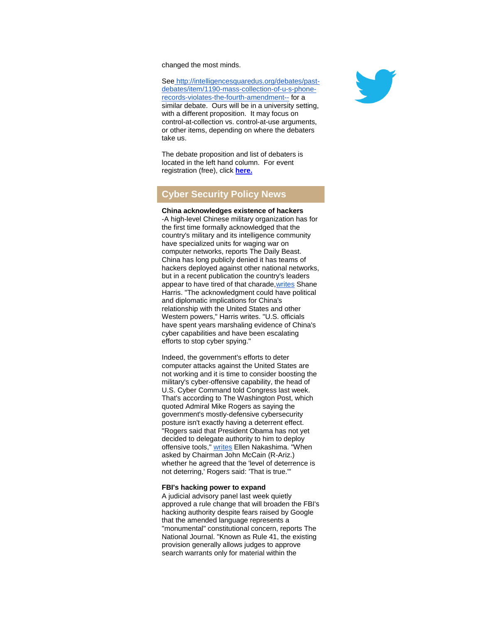changed the most minds.

See [http://intelligencesquaredus.org/debates/past](http://r20.rs6.net/tn.jsp?e=001P6THgqauJSHyKPHhO_2I5rrEqf7H__wdrFf-PDbB4VygaioqyNdIWJHu9BNxaA_QAE9yEpbkqrDhJwr8IJkebpaTYrPTheKcRGV6J-6y7nAfQNvEe_9MBALgnc_4KCoQUdjOtDBxRHrj6QXWlzKMNRXUDEJGMGT6Ge72uVTfuo4HmTE7MauK2I0TD8mSHsn4KcJaBjgd9EKyPtB8YORwKnW_PUeQ0snjQZpXa1iguDonKwrFayHBO6X12DpXFRwE)[debates/item/1190-mass-collection-of-u-s-phone](http://r20.rs6.net/tn.jsp?e=001P6THgqauJSHyKPHhO_2I5rrEqf7H__wdrFf-PDbB4VygaioqyNdIWJHu9BNxaA_QAE9yEpbkqrDhJwr8IJkebpaTYrPTheKcRGV6J-6y7nAfQNvEe_9MBALgnc_4KCoQUdjOtDBxRHrj6QXWlzKMNRXUDEJGMGT6Ge72uVTfuo4HmTE7MauK2I0TD8mSHsn4KcJaBjgd9EKyPtB8YORwKnW_PUeQ0snjQZpXa1iguDonKwrFayHBO6X12DpXFRwE)[records-violates-the-fourth-amendment--](http://r20.rs6.net/tn.jsp?e=001P6THgqauJSHyKPHhO_2I5rrEqf7H__wdrFf-PDbB4VygaioqyNdIWJHu9BNxaA_QAE9yEpbkqrDhJwr8IJkebpaTYrPTheKcRGV6J-6y7nAfQNvEe_9MBALgnc_4KCoQUdjOtDBxRHrj6QXWlzKMNRXUDEJGMGT6Ge72uVTfuo4HmTE7MauK2I0TD8mSHsn4KcJaBjgd9EKyPtB8YORwKnW_PUeQ0snjQZpXa1iguDonKwrFayHBO6X12DpXFRwE) for a similar debate. Ours will be in a university setting, with a different proposition. It may focus on control-at-collection vs. control-at-use arguments, or other items, depending on where the debaters take us.

The debate proposition and list of debaters is located in the left hand column. For event registration (free), click **[here.](http://r20.rs6.net/tn.jsp?e=001P6THgqauJSHyKPHhO_2I5rrEqf7H__wdrFf-PDbB4VygaioqyNdIWJHu9BNxaA_QAE9yEpbkqrBMthnDEGq7_cQtM4m2U2o0-G3IzwSbiBeSlBC4kKogi5fXHLFa1CKq1cU1_bt5er7du-RDbcMPmOsYObO7GXtlQZveUXxMdkubxNrZM7ArPfIW7a07HeTWJPTU7GxFSbbiSQI3TLw8mj8crIE5joh_fQzRGXZv24w11Gb4PQRIkVSFZbx4-iclU7OhGVRJHGQ=)**

## **Cyber Security Policy News**

### **China acknowledges existence of hackers** -A high-level Chinese military organization has for the first time formally acknowledged that the country's military and its intelligence community have specialized units for waging war on computer networks, reports The Daily Beast. China has long publicly denied it has teams of hackers deployed against other national networks, but in a recent publication the country's leaders appear to have tired of that charade, writes Shane Harris. "The acknowledgment could have political and diplomatic implications for China's relationship with the United States and other Western powers," Harris writes. "U.S. officials have spent years marshaling evidence of China's cyber capabilities and have been escalating efforts to stop cyber spying."

Indeed, the government's efforts to deter computer attacks against the United States are not working and it is time to consider boosting the military's cyber-offensive capability, the head of U.S. Cyber Command told Congress last week. That's according to The Washington Post, which quoted Admiral Mike Rogers as saying the government's mostly-defensive cybersecurity posture isn't exactly having a deterrent effect. "Rogers said that President Obama has not yet decided to delegate authority to him to deploy offensive tools," [writes](http://r20.rs6.net/tn.jsp?e=001P6THgqauJSHyKPHhO_2I5rrEqf7H__wdrFf-PDbB4VygaioqyNdIWJHu9BNxaA_QAE9yEpbkqrCrUNTrI5UpYT1B7WTGReytdMJD4rOlsmWrO9SFfvHAZr6GRI4MGtw9gu6RDk_2CVIX8hS4nHMMdRBzdl6ZvwAHjnvXZhtxaXEtmTuD_eU-txTWEg7yS34oQPK0l5j0F66_OTgHk1peUbSVAEtHjMuuLCJK15541boTclYfF1EuhUkeQFCdvrutpo5JEZxE005jrSuJsLlPZftwTkBvhXrVrWspCNho35H_MJF-airgcNqgZ0KIOo37fJCIJ96AbxQqusuAmgttc4-qOTQuB9OX1SwSITprP0S6RCkGriQ1-w==) Ellen Nakashima. "When asked by Chairman John McCain (R-Ariz.) whether he agreed that the 'level of deterrence is not deterring,' Rogers said: 'That is true.'"

#### **FBI's hacking power to expand**

A judicial advisory panel last week quietly approved a rule change that will broaden the FBI's hacking authority despite fears raised by Google that the amended language represents a "monumental" constitutional concern, reports The National Journal. "Known as Rule 41, the existing provision generally allows judges to approve search warrants only for material within the

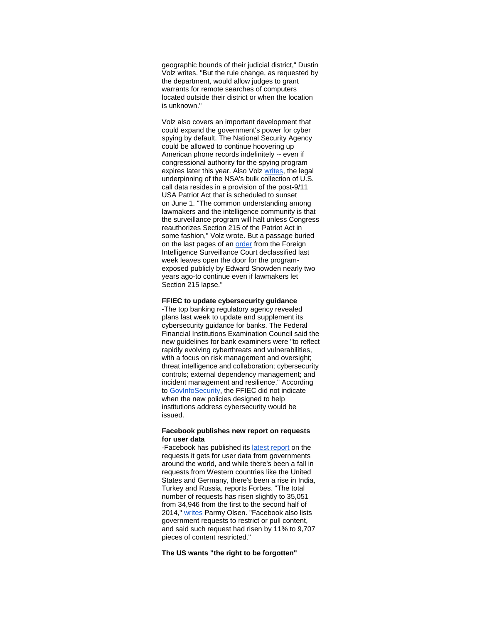geographic bounds of their judicial district," Dustin Volz writes. "But the rule change, as requested by the department, would allow judges to grant warrants for remote searches of computers located outside their district or when the location is unknown."

Volz also covers an important development that could expand the government's power for cyber spying by default. The National Security Agency could be allowed to continue hoovering up American phone records indefinitely -- even if congressional authority for the spying program expires later this year. Also Volz [writes,](http://r20.rs6.net/tn.jsp?e=001P6THgqauJSHyKPHhO_2I5rrEqf7H__wdrFf-PDbB4VygaioqyNdIWJHu9BNxaA_QAE9yEpbkqrD-26akox7F1REIs7Su9MhZKcVG0UApWN0OLB4-FfvBBpvwB3iqSKujUkTbglhdUMqmeCtOMg5UbJ4l9bcVxASdXeINutWIC1-Y3yraH4stqzZsG5Ml-rzU5Z4HlFSQNCozwijtzDCDITL1J1XTFI2W-pLjwqRYNYU=) the legal underpinning of the NSA's bulk collection of U.S. call data resides in a provision of the post-9/11 USA Patriot Act that is scheduled to sunset on June 1. "The common understanding among lawmakers and the intelligence community is that the surveillance program will halt unless Congress reauthorizes Section 215 of the Patriot Act in some fashion," Volz wrote. But a passage buried on the last pages of an [order](http://r20.rs6.net/tn.jsp?e=001P6THgqauJSHyKPHhO_2I5rrEqf7H__wdrFf-PDbB4VygaioqyNdIWJHu9BNxaA_QAE9yEpbkqrDxu5SSbN1ENYZk8Mi0Jv4YqF5htjvGouwZG5CVPSvnzF8YQKKUvZFY0rtsrOsuz47m6HDZjHodoi3NEouGnV7o2mNpj4DCUWlm96pBESiCr20AlYlRX75J064izS9V9ynoolBDXoj3BA==) from the Foreign Intelligence Surveillance Court declassified last week leaves open the door for the programexposed publicly by Edward Snowden nearly two years ago-to continue even if lawmakers let Section 215 lapse."

## **FFIEC to update cybersecurity guidance**

-The top banking regulatory agency revealed plans last week to update and supplement its cybersecurity guidance for banks. The Federal Financial Institutions Examination Council said the new guidelines for bank examiners were "to reflect rapidly evolving cyberthreats and vulnerabilities, with a focus on risk management and oversight; threat intelligence and collaboration; cybersecurity controls; external dependency management; and incident management and resilience." According to [GovInfoSecurity,](http://r20.rs6.net/tn.jsp?e=001P6THgqauJSHyKPHhO_2I5rrEqf7H__wdrFf-PDbB4VygaioqyNdIWJHu9BNxaA_QAE9yEpbkqrBBhh-CRPp0tn-aJoONj_fmxK_6CHEs663Hvh9IwTVkFdISp3OSaKP_HmHrDzjzAsN4uKDQaUqWQz-REsD0lCSr_wkUAlbmQg8peCkITOR_dw==) the FFIEC did not indicate when the new policies designed to help institutions address cybersecurity would be issued.

#### **Facebook publishes new report on requests for user data**

-Facebook has published its [latest report](http://r20.rs6.net/tn.jsp?e=001P6THgqauJSHyKPHhO_2I5rrEqf7H__wdrFf-PDbB4VygaioqyNdIWJHu9BNxaA_QS1IHyaBlVmdpMCsZAdRnUdvyFVd5Kuo63xIP5NFFiEkLyU7EQF8bOw==) on the requests it gets for user data from governments around the world, and while there's been a fall in requests from Western countries like the United States and Germany, there's been a rise in India, Turkey and Russia, reports Forbes. "The total number of requests has risen slightly to 35,051 from 34,946 from the first to the second half of 2014," [writes](http://r20.rs6.net/tn.jsp?e=001P6THgqauJSHyKPHhO_2I5rrEqf7H__wdrFf-PDbB4VygaioqyNdIWJHu9BNxaA_QAE9yEpbkqrBn4vYQt1GX9pJ0EQqM9gKTRinXYp51gOwiMf8F3PeKyWv7n_PJGxitjJ9yJ1q0JwU_DrUOYlugX0TsGZhKbDkU4MM-GTZI1wcTlKKt6hIzO789Jx9ueuUUIMXxKc0E8ldsQHVVwxfaC3UjQGuNVlxD) Parmy Olsen. "Facebook also lists government requests to restrict or pull content, and said such request had risen by 11% to 9,707 pieces of content restricted."

## **The US wants "the right to be forgotten"**